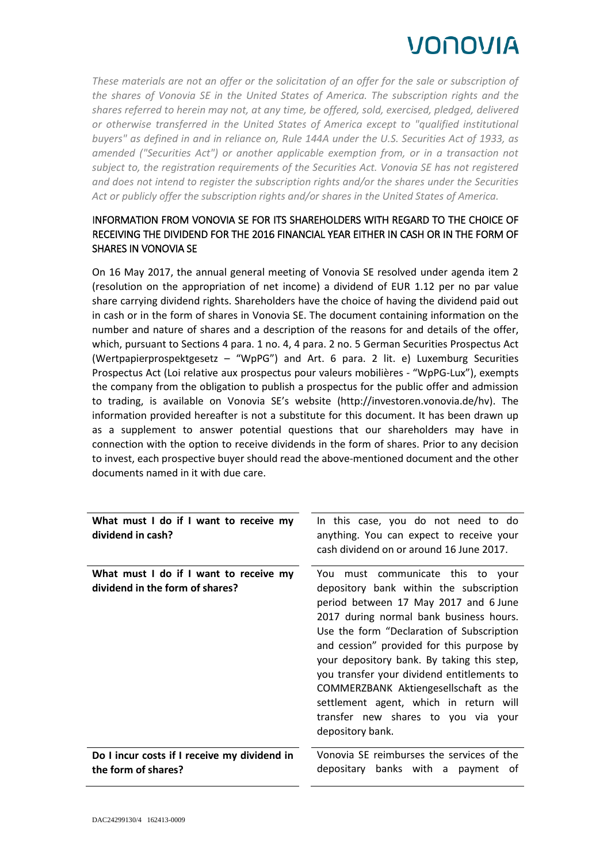## VONOVIA

*These materials are not an offer or the solicitation of an offer for the sale or subscription of the shares of Vonovia SE in the United States of America. The subscription rights and the shares referred to herein may not, at any time, be offered, sold, exercised, pledged, delivered or otherwise transferred in the United States of America except to "qualified institutional buyers" as defined in and in reliance on, Rule 144A under the U.S. Securities Act of 1933, as amended ("Securities Act") or another applicable exemption from, or in a transaction not subject to, the registration requirements of the Securities Act. Vonovia SE has not registered and does not intend to register the subscription rights and/or the shares under the Securities Act or publicly offer the subscription rights and/or shares in the United States of America.*

## INFORMATION FROM VONOVIA SE FOR ITS SHAREHOLDERS WITH REGARD TO THE CHOICE OF RECEIVING THE DIVIDEND FOR THE 2016 FINANCIAL YEAR EITHER IN CASH OR IN THE FORM OF SHARES IN VONOVIA SE

On 16 May 2017, the annual general meeting of Vonovia SE resolved under agenda item 2 (resolution on the appropriation of net income) a dividend of EUR 1.12 per no par value share carrying dividend rights. Shareholders have the choice of having the dividend paid out in cash or in the form of shares in Vonovia SE. The document containing information on the number and nature of shares and a description of the reasons for and details of the offer, which, pursuant to Sections 4 para. 1 no. 4, 4 para. 2 no. 5 German Securities Prospectus Act (Wertpapierprospektgesetz – "WpPG") and Art. 6 para. 2 lit. e) Luxemburg Securities Prospectus Act (Loi relative aux prospectus pour valeurs mobilières *-* "WpPG-Lux"), exempts the company from the obligation to publish a prospectus for the public offer and admission to trading, is available on Vonovia SE's website (http://investoren.vonovia.de/hv). The information provided hereafter is not a substitute for this document. It has been drawn up as a supplement to answer potential questions that our shareholders may have in connection with the option to receive dividends in the form of shares. Prior to any decision to invest, each prospective buyer should read the above-mentioned document and the other documents named in it with due care.

| What must I do if I want to receive my<br>dividend in cash?               | In this case, you do not need to do<br>anything. You can expect to receive your<br>cash dividend on or around 16 June 2017.                                                                                                                                                                                                                                                                                                                  |
|---------------------------------------------------------------------------|----------------------------------------------------------------------------------------------------------------------------------------------------------------------------------------------------------------------------------------------------------------------------------------------------------------------------------------------------------------------------------------------------------------------------------------------|
| What must I do if I want to receive my<br>dividend in the form of shares? | must communicate this to your<br>You<br>depository bank within the subscription<br>period between 17 May 2017 and 6 June<br>2017 during normal bank business hours.<br>Use the form "Declaration of Subscription<br>and cession" provided for this purpose by<br>your depository bank. By taking this step,<br>you transfer your dividend entitlements to<br>COMMERZBANK Aktiengesellschaft as the<br>settlement agent, which in return will |
|                                                                           | transfer new shares to you via your<br>depository bank.                                                                                                                                                                                                                                                                                                                                                                                      |
| Do I incur costs if I receive my dividend in<br>the form of shares?       | Vonovia SE reimburses the services of the<br>depositary banks with a payment<br>of                                                                                                                                                                                                                                                                                                                                                           |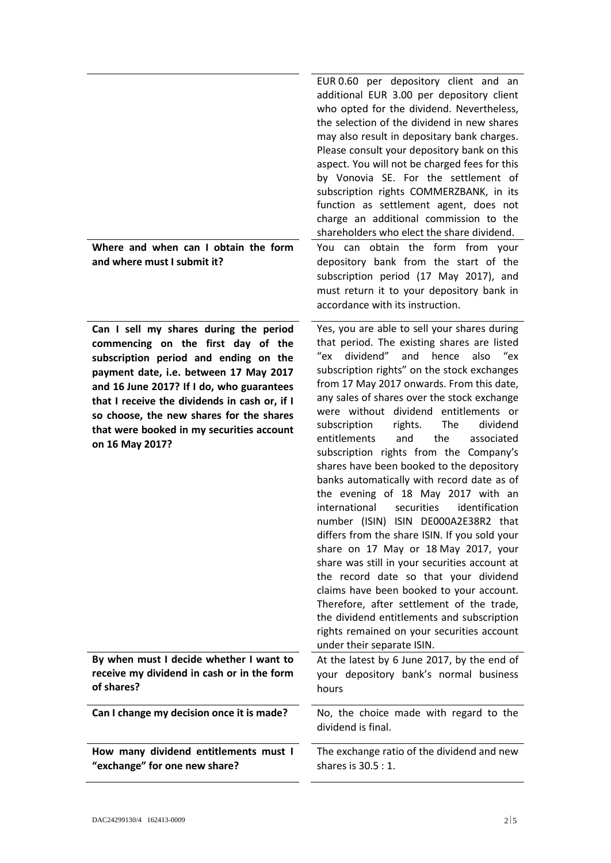| Where and when can I obtain the form<br>and where must I submit it?                                                                                                                                                                                                                                                                                                       | EUR 0.60 per depository client and an<br>additional EUR 3.00 per depository client<br>who opted for the dividend. Nevertheless,<br>the selection of the dividend in new shares<br>may also result in depositary bank charges.<br>Please consult your depository bank on this<br>aspect. You will not be charged fees for this<br>by Vonovia SE. For the settlement of<br>subscription rights COMMERZBANK, in its<br>function as settlement agent, does not<br>charge an additional commission to the<br>shareholders who elect the share dividend.<br>You can obtain the form from your<br>depository bank from the start of the<br>subscription period (17 May 2017), and<br>must return it to your depository bank in<br>accordance with its instruction.                                                                                                                                                                                                                                                                                                                                            |
|---------------------------------------------------------------------------------------------------------------------------------------------------------------------------------------------------------------------------------------------------------------------------------------------------------------------------------------------------------------------------|--------------------------------------------------------------------------------------------------------------------------------------------------------------------------------------------------------------------------------------------------------------------------------------------------------------------------------------------------------------------------------------------------------------------------------------------------------------------------------------------------------------------------------------------------------------------------------------------------------------------------------------------------------------------------------------------------------------------------------------------------------------------------------------------------------------------------------------------------------------------------------------------------------------------------------------------------------------------------------------------------------------------------------------------------------------------------------------------------------|
| Can I sell my shares during the period<br>commencing on the first day of the<br>subscription period and ending on the<br>payment date, i.e. between 17 May 2017<br>and 16 June 2017? If I do, who guarantees<br>that I receive the dividends in cash or, if I<br>so choose, the new shares for the shares<br>that were booked in my securities account<br>on 16 May 2017? | Yes, you are able to sell your shares during<br>that period. The existing shares are listed<br>"ex<br>dividend"<br>and<br>hence<br>also<br>ex"<br>subscription rights" on the stock exchanges<br>from 17 May 2017 onwards. From this date,<br>any sales of shares over the stock exchange<br>were without dividend entitlements or<br>The<br>subscription<br>rights.<br>dividend<br>entitlements<br>the<br>and<br>associated<br>subscription rights from the Company's<br>shares have been booked to the depository<br>banks automatically with record date as of<br>the evening of 18 May 2017 with an<br>international<br>identification<br>securities<br>number (ISIN) ISIN DE000A2E38R2 that<br>differs from the share ISIN. If you sold your<br>share on 17 May or 18 May 2017, your<br>share was still in your securities account at<br>the record date so that your dividend<br>claims have been booked to your account.<br>Therefore, after settlement of the trade,<br>the dividend entitlements and subscription<br>rights remained on your securities account<br>under their separate ISIN. |
| By when must I decide whether I want to<br>receive my dividend in cash or in the form<br>of shares?                                                                                                                                                                                                                                                                       | At the latest by 6 June 2017, by the end of<br>your depository bank's normal business<br>hours                                                                                                                                                                                                                                                                                                                                                                                                                                                                                                                                                                                                                                                                                                                                                                                                                                                                                                                                                                                                         |
| Can I change my decision once it is made?                                                                                                                                                                                                                                                                                                                                 | No, the choice made with regard to the<br>dividend is final.                                                                                                                                                                                                                                                                                                                                                                                                                                                                                                                                                                                                                                                                                                                                                                                                                                                                                                                                                                                                                                           |
| How many dividend entitlements must I<br>"exchange" for one new share?                                                                                                                                                                                                                                                                                                    | The exchange ratio of the dividend and new<br>shares is 30.5 : 1.                                                                                                                                                                                                                                                                                                                                                                                                                                                                                                                                                                                                                                                                                                                                                                                                                                                                                                                                                                                                                                      |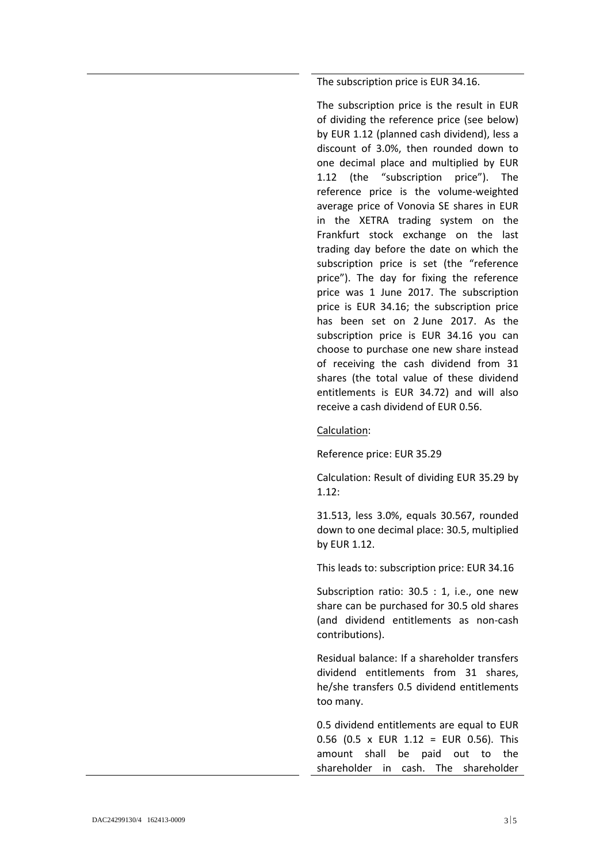The subscription price is EUR 34.16.

The subscription price is the result in EUR of dividing the reference price (see below) by EUR 1.12 (planned cash dividend), less a discount of 3.0%, then rounded down to one decimal place and multiplied by EUR 1.12 (the "subscription price"). The reference price is the volume-weighted average price of Vonovia SE shares in EUR in the XETRA trading system on the Frankfurt stock exchange on the last trading day before the date on which the subscription price is set (the "reference price"). The day for fixing the reference price was 1 June 2017. The subscription price is EUR 34.16; the subscription price has been set on 2 June 2017. As the subscription price is EUR 34.16 you can choose to purchase one new share instead of receiving the cash dividend from 31 shares (the total value of these dividend entitlements is EUR 34.72) and will also receive a cash dividend of EUR 0.56.

Calculation:

Reference price: EUR 35.29

Calculation: Result of dividing EUR 35.29 by 1.12:

31.513, less 3.0%, equals 30.567, rounded down to one decimal place: 30.5, multiplied by EUR 1.12.

This leads to: subscription price: EUR 34.16

Subscription ratio: 30.5 : 1, i.e., one new share can be purchased for 30.5 old shares (and dividend entitlements as non-cash contributions).

Residual balance: If a shareholder transfers dividend entitlements from 31 shares, he/she transfers 0.5 dividend entitlements too many.

0.5 dividend entitlements are equal to EUR 0.56 (0.5 x EUR 1.12 = EUR 0.56). This amount shall be paid out to the shareholder in cash. The shareholder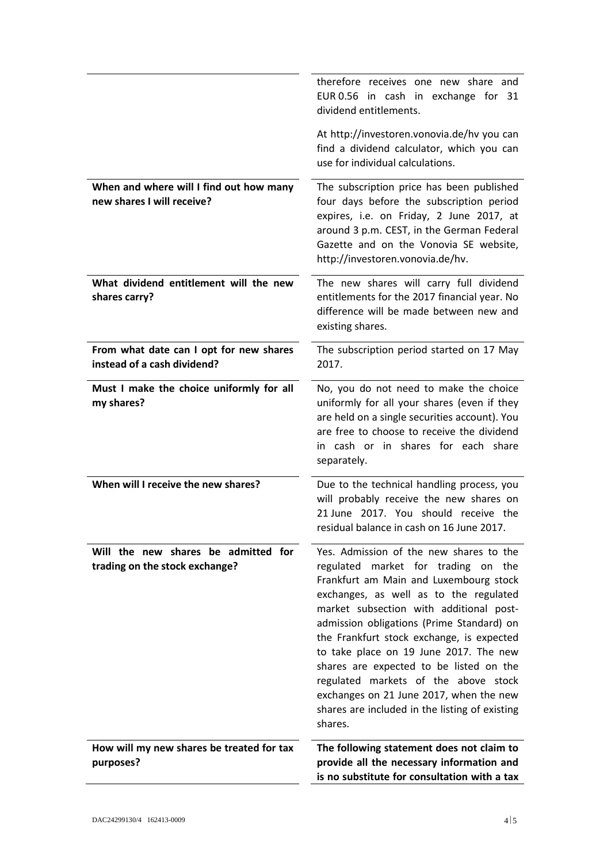|                                                                        | therefore receives one new share and<br>EUR 0.56 in cash in exchange for 31<br>dividend entitlements.                                                                                                                                                                                                                                                                                                                                                                                                                                        |
|------------------------------------------------------------------------|----------------------------------------------------------------------------------------------------------------------------------------------------------------------------------------------------------------------------------------------------------------------------------------------------------------------------------------------------------------------------------------------------------------------------------------------------------------------------------------------------------------------------------------------|
|                                                                        | At http://investoren.vonovia.de/hv you can<br>find a dividend calculator, which you can<br>use for individual calculations.                                                                                                                                                                                                                                                                                                                                                                                                                  |
| When and where will I find out how many<br>new shares I will receive?  | The subscription price has been published<br>four days before the subscription period<br>expires, i.e. on Friday, 2 June 2017, at<br>around 3 p.m. CEST, in the German Federal<br>Gazette and on the Vonovia SE website,<br>http://investoren.vonovia.de/hv.                                                                                                                                                                                                                                                                                 |
| What dividend entitlement will the new<br>shares carry?                | The new shares will carry full dividend<br>entitlements for the 2017 financial year. No<br>difference will be made between new and<br>existing shares.                                                                                                                                                                                                                                                                                                                                                                                       |
| From what date can I opt for new shares<br>instead of a cash dividend? | The subscription period started on 17 May<br>2017.                                                                                                                                                                                                                                                                                                                                                                                                                                                                                           |
| Must I make the choice uniformly for all<br>my shares?                 | No, you do not need to make the choice<br>uniformly for all your shares (even if they<br>are held on a single securities account). You<br>are free to choose to receive the dividend<br>in cash or in shares for each share<br>separately.                                                                                                                                                                                                                                                                                                   |
| When will I receive the new shares?                                    | Due to the technical handling process, you<br>will probably receive the new shares on<br>21 June 2017. You should receive the<br>residual balance in cash on 16 June 2017.                                                                                                                                                                                                                                                                                                                                                                   |
| Will the new shares be admitted for<br>trading on the stock exchange?  | Yes. Admission of the new shares to the<br>regulated market for trading on the<br>Frankfurt am Main and Luxembourg stock<br>exchanges, as well as to the regulated<br>market subsection with additional post-<br>admission obligations (Prime Standard) on<br>the Frankfurt stock exchange, is expected<br>to take place on 19 June 2017. The new<br>shares are expected to be listed on the<br>regulated markets of the above stock<br>exchanges on 21 June 2017, when the new<br>shares are included in the listing of existing<br>shares. |
| How will my new shares be treated for tax<br>purposes?                 | The following statement does not claim to<br>provide all the necessary information and<br>is no substitute for consultation with a tax                                                                                                                                                                                                                                                                                                                                                                                                       |